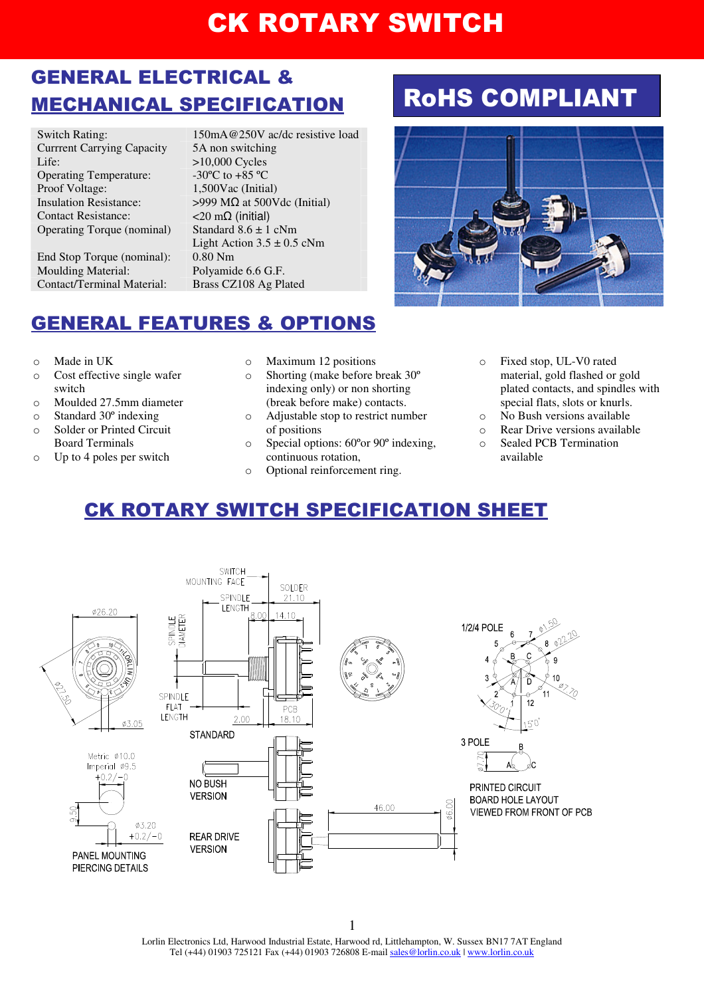## GENERAL ELECTRICAL & MECHANICAL SPECIFICATION

Currrent Carrying Capacity 5A non switching<br>Life:  $>10,000$  Cycles Operating Temperature:  $-30^{\circ}$ C to +85 °C Proof Voltage:  $1,500\text{Vac}$  (Initial)<br>Insulation Resistance:  $>999\text{ M}\Omega$  at 500V Contact Resistance: <20 mΩ (initial) Operating Torque (nominal) Standard  $8.6 \pm 1$  cNm

End Stop Torque (nominal): 0.80 Nm Moulding Material: Polyamide 6.6 G.F. Contact/Terminal Material: Brass CZ108 Ag Plated

Switch Rating: 150mA@250V ac/dc resistive load  $>10,000$  Cycles  $>999$  MΩ at 500Vdc (Initial) Light Action  $3.5 \pm 0.5$  cNm

# RoHS COMPLIANT



## GENERAL FEATURES & OPTIONS

- o Made in UK
- o Cost effective single wafer switch
- o Moulded 27.5mm diameter
- o Standard 30º indexing
- o Solder or Printed Circuit Board Terminals
- o Up to 4 poles per switch
- o Maximum 12 positions
- o Shorting (make before break 30º indexing only) or non shorting (break before make) contacts.
- o Adjustable stop to restrict number of positions
- o Special options: 60ºor 90º indexing, continuous rotation,
- o Optional reinforcement ring.
- Fixed stop, UL-V0 rated material, gold flashed or gold plated contacts, and spindles with special flats, slots or knurls.
- o No Bush versions available
- o Rear Drive versions available
- o Sealed PCB Termination available

## CK ROTARY SWITCH SPECIFICATION SHEET



Lorlin Electronics Ltd, Harwood Industrial Estate, Harwood rd, Littlehampton, W. Sussex BN17 7AT England Tel (+44) 01903 725121 Fax (+44) 01903 726808 E-mail sales@lorlin.co.uk | www.lorlin.co.uk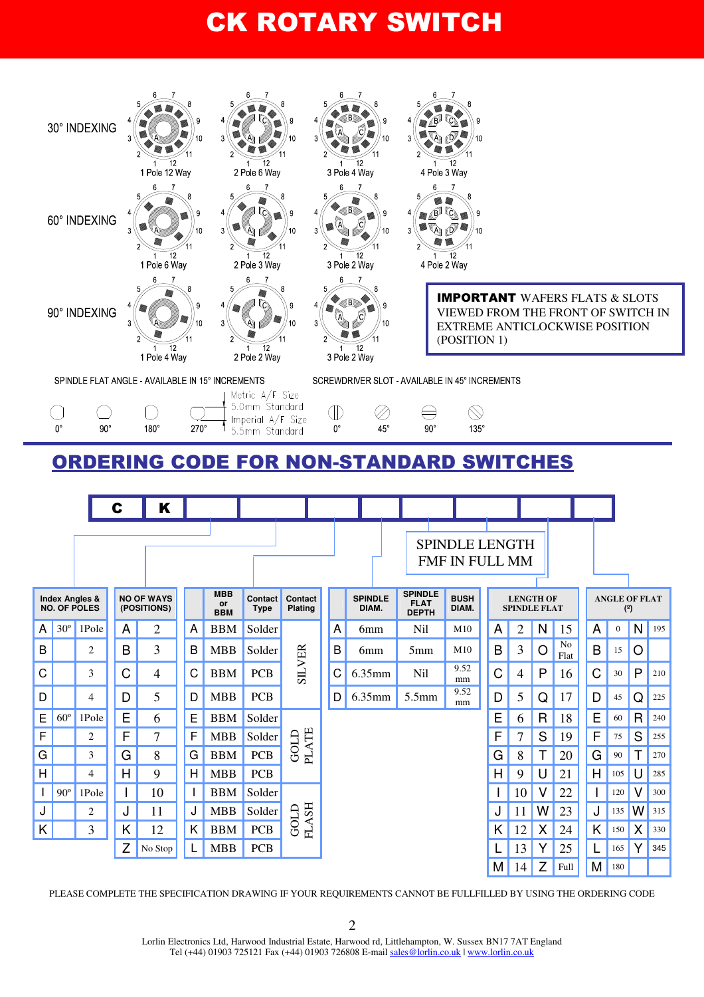

PLEASE COMPLETE THE SPECIFICATION DRAWING IF YOUR REQUIREMENTS CANNOT BE FULLFILLED BY USING THE ORDERING CODE

2

Lorlin Electronics Ltd, Harwood Industrial Estate, Harwood rd, Littlehampton, W. Sussex BN17 7AT England Tel (+44) 01903 725121 Fax (+44) 01903 726808 E-mail sales@lorlin.co.uk | www.lorlin.co.uk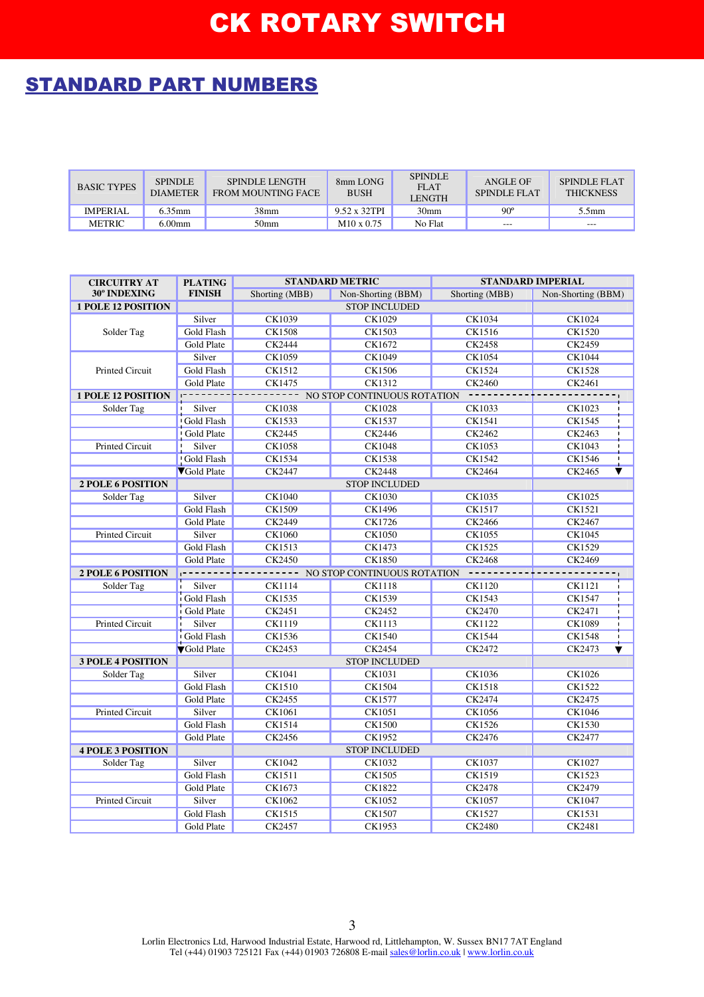## STANDARD PART NUMBERS

| <b>BASIC TYPES</b> | <b>SPINDLE</b><br><b>DIAMETER</b> | <b>SPINDLE LENGTH</b><br>FROM MOUNTING FACE | 8mm LONG<br><b>BUSH</b> | <b>SPINDLE</b><br><b>FLAT</b><br><b>LENGTH</b> | ANGLE OF<br>SPINDLE FLAT | SPINDI E FLAT<br><b>THICKNESS</b> |
|--------------------|-----------------------------------|---------------------------------------------|-------------------------|------------------------------------------------|--------------------------|-----------------------------------|
| <b>IMPERIAL</b>    | $6.35$ mm                         | 38mm                                        | 9.52 x 32TPI            | 30 <sub>mm</sub>                               | $90^\circ$               | 5.5mm                             |
| <b>METRIC</b>      | $6.00$ mm                         | 50 <sub>mm</sub>                            | $M10 \times 0.75$       | No Flat                                        | $---$                    | $---$                             |

| <b>CIRCUITRY AT</b>       | <b>PLATING</b>       | <b>STANDARD METRIC</b>                |                      | <b>STANDARD IMPERIAL</b> |                                   |  |  |  |
|---------------------------|----------------------|---------------------------------------|----------------------|--------------------------|-----------------------------------|--|--|--|
| 30° INDEXING              | <b>FINISH</b>        | Shorting (MBB)                        | Non-Shorting (BBM)   | Shorting (MBB)           | Non-Shorting (BBM)                |  |  |  |
| <b>1 POLE 12 POSITION</b> |                      |                                       | <b>STOP INCLUDED</b> |                          |                                   |  |  |  |
|                           | Silver               | CK1039                                | CK1029               | CK1034                   | CK1024                            |  |  |  |
| Solder Tag                | <b>Gold Flash</b>    | <b>CK1508</b>                         | CK1503               | <b>CK1516</b>            | <b>CK1520</b>                     |  |  |  |
|                           | Gold Plate           | CK2444                                | CK1672               | CK2458                   | CK2459                            |  |  |  |
|                           | Silver               | <b>CK1059</b>                         | CK1049               | <b>CK1054</b>            | <b>CK1044</b>                     |  |  |  |
| Printed Circuit           | <b>Gold Flash</b>    | CK1512                                | CK1506               | <b>CK1524</b>            | CK1528                            |  |  |  |
|                           | Gold Plate           | CK1475                                | <b>CK1312</b>        | <b>CK2460</b>            | CK2461                            |  |  |  |
| <b>1 POLE 12 POSITION</b> |                      | NO STOP CONTINUOUS ROTATION           |                      |                          |                                   |  |  |  |
| Solder Tag                | Silver               | CK1038<br><b>CK1028</b>               |                      | CK1033                   | CK1023                            |  |  |  |
|                           | Gold Flash           | CK1533                                | CK1537               | CK1541                   | CK1545                            |  |  |  |
|                           | Gold Plate           | CK2445                                | CK2446               | CK2462                   | CK2463                            |  |  |  |
| Printed Circuit           | Silver               | CK1058                                | CK1048               | CK1053                   | CK1043                            |  |  |  |
|                           | Gold Flash           | CK1534                                | <b>CK1538</b>        | CK1542                   | CK1546                            |  |  |  |
|                           | <b>VGold Plate</b>   | CK2447                                | <b>CK2448</b>        | CK2464                   | CK2465                            |  |  |  |
| <b>2 POLE 6 POSITION</b>  | <b>STOP INCLUDED</b> |                                       |                      |                          |                                   |  |  |  |
| Solder Tag                | Silver               | CK1040                                | CK1030               | <b>CK1035</b>            | CK1025                            |  |  |  |
|                           | Gold Flash           | CK1509                                | CK1496               | CK1517                   | CK1521                            |  |  |  |
|                           | Gold Plate           | CK2449                                | CK1726               | CK2466                   | CK2467                            |  |  |  |
| Printed Circuit           | Silver               | CK1060                                | CK1050               | <b>CK1055</b>            | CK1045                            |  |  |  |
|                           | <b>Gold Flash</b>    | <b>CK1513</b>                         | CK1473               | CK1525                   | <b>CK1529</b>                     |  |  |  |
|                           | Gold Plate           | CK2450                                | <b>CK1850</b>        | <b>CK2468</b>            | CK2469                            |  |  |  |
| 2 POLE 6 POSITION         | . <b>.</b>           | --------- NO STOP CONTINUOUS ROTATION |                      |                          |                                   |  |  |  |
| Solder Tag                | Silver               | CK1114                                | <b>CK1118</b>        | CK1120                   | CK1121                            |  |  |  |
|                           | Gold Flash           | CK1535                                | CK1539               | CK1543                   | CK1547                            |  |  |  |
|                           | Gold Plate           | CK2451                                | CK2452               | <b>CK2470</b>            | CK2471                            |  |  |  |
| Printed Circuit           | Silver               | CK1119                                | CK1113               | CK1122                   | CK1089                            |  |  |  |
|                           | Gold Flash           | CK1536                                | <b>CK1540</b>        | <b>CK1544</b>            | CK1548                            |  |  |  |
|                           | <b>V</b> Gold Plate  | CK2453                                | CK2454               | CK2472                   | CK2473<br>$\overline{\textbf{v}}$ |  |  |  |
| <b>3 POLE 4 POSITION</b>  |                      |                                       |                      |                          |                                   |  |  |  |
| Solder Tag                | Silver               | CK1041                                | CK1031               | CK1036                   | CK1026                            |  |  |  |
|                           | Gold Flash           | CK1510                                | CK1504               | CK1518                   | CK1522                            |  |  |  |
|                           | Gold Plate           | CK2455                                | CK1577               | CK2474                   | CK2475                            |  |  |  |
| Printed Circuit           | Silver               | CK1061                                | CK1051               | CK1056                   | CK1046                            |  |  |  |
|                           | Gold Flash           | CK1514                                | <b>CK1500</b>        | CK1526                   | CK1530                            |  |  |  |
|                           | Gold Plate           | CK2456                                | <b>CK1952</b>        | CK2476                   | CK2477                            |  |  |  |
| <b>4 POLE 3 POSITION</b>  |                      |                                       |                      |                          |                                   |  |  |  |
| Solder Tag                | Silver               | <b>CK1042</b>                         | <b>CK1032</b>        | <b>CK1037</b>            | <b>CK1027</b>                     |  |  |  |
|                           | Gold Flash           | CK1511                                | <b>CK1505</b>        | CK1519                   | CK1523                            |  |  |  |
|                           | Gold Plate           | CK1673                                | CK1822               | CK2478                   | CK2479                            |  |  |  |
| <b>Printed Circuit</b>    | Silver               | <b>CK1062</b>                         | <b>CK1052</b>        | <b>CK1057</b>            | <b>CK1047</b>                     |  |  |  |
|                           | Gold Flash           | CK1515                                | CK1507               | CK1527                   | CK1531                            |  |  |  |
|                           | Gold Plate           | CK2457                                | CK1953               | <b>CK2480</b>            | <b>CK2481</b>                     |  |  |  |

Lorlin Electronics Ltd, Harwood Industrial Estate, Harwood rd, Littlehampton, W. Sussex BN17 7AT England Tel (+44) 01903 725121 Fax (+44) 01903 726808 E-mail sales@lorlin.co.uk | www.lorlin.co.uk